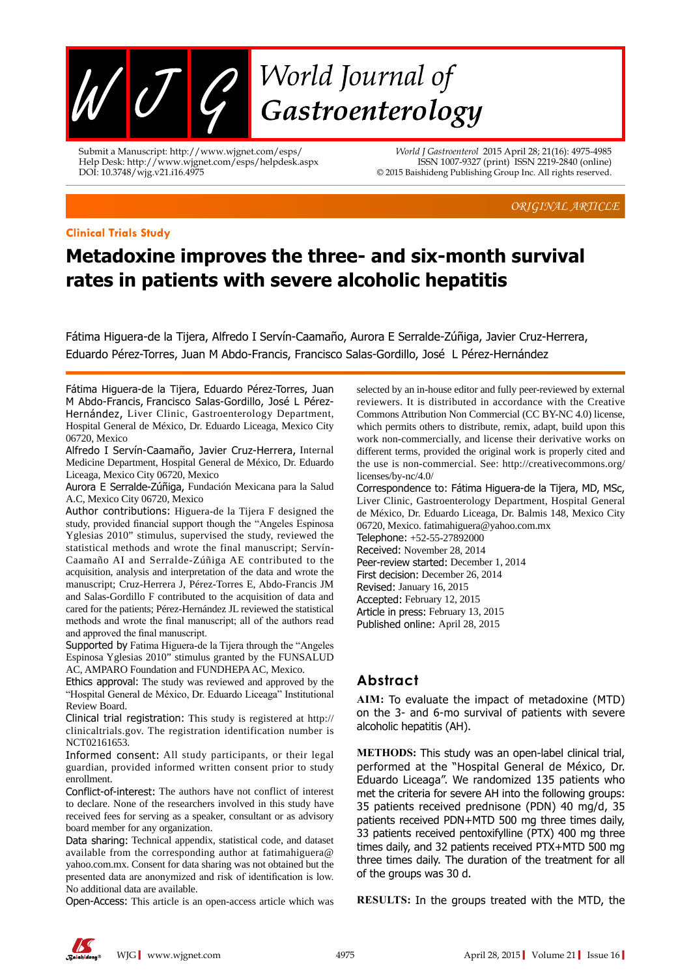

Help Desk: http://www.wjgnet.com/esps/helpdesk.aspx DOI: 10.3748/wjg.v21.i16.4975

*World J Gastroenterol* 2015 April 28; 21(16): 4975-4985 ISSN 1007-9327 (print) ISSN 2219-2840 (online) © 2015 Baishideng Publishing Group Inc. All rights reserved.

*ORIGINAL ARTICLE*

### **Clinical Trials Study**

# **Metadoxine improves the three- and six-month survival rates in patients with severe alcoholic hepatitis**

Fátima Higuera-de la Tijera, Alfredo I Servín-Caamaño, Aurora E Serralde-Zúñiga, Javier Cruz-Herrera, Eduardo Pérez-Torres, Juan M Abdo-Francis, Francisco Salas-Gordillo, José L Pérez-Hernández

Fátima Higuera-de la Tijera, Eduardo Pérez-Torres, Juan M Abdo-Francis, Francisco Salas-Gordillo, José L Pérez-Hernández, Liver Clinic, Gastroenterology Department, Hospital General de México, Dr. Eduardo Liceaga, Mexico City 06720, Mexico

Alfredo I Servín-Caamaño, Javier Cruz-Herrera, Internal Medicine Department, Hospital General de México, Dr. Eduardo Liceaga, Mexico City 06720, Mexico

Aurora E Serralde-Zúñiga, Fundación Mexicana para la Salud A.C, Mexico City 06720, Mexico

Author contributions: Higuera-de la Tijera F designed the study, provided financial support though the "Angeles Espinosa Yglesias 2010" stimulus, supervised the study, reviewed the statistical methods and wrote the final manuscript; Servín-Caamaño AI and Serralde-Zúñiga AE contributed to the acquisition, analysis and interpretation of the data and wrote the manuscript; Cruz-Herrera J, Pérez-Torres E, Abdo-Francis JM and Salas-Gordillo F contributed to the acquisition of data and cared for the patients; Pérez-Hernández JL reviewed the statistical methods and wrote the final manuscript; all of the authors read and approved the final manuscript.

Supported by Fatima Higuera-de la Tijera through the "Angeles Espinosa Yglesias 2010" stimulus granted by the FUNSALUD AC, AMPARO Foundation and FUNDHEPA AC, Mexico.

Ethics approval: The study was reviewed and approved by the "Hospital General de México, Dr. Eduardo Liceaga" Institutional Review Board.

Clinical trial registration: This study is registered at http:// clinicaltrials.gov. The registration identification number is NCT02161653.

Informed consent: All study participants, or their legal guardian, provided informed written consent prior to study enrollment.

Conflict-of-interest: The authors have not conflict of interest to declare. None of the researchers involved in this study have received fees for serving as a speaker, consultant or as advisory board member for any organization.

Data sharing: Technical appendix, statistical code, and dataset available from the corresponding author at fatimahiguera@ yahoo.com.mx. Consent for data sharing was not obtained but the presented data are anonymized and risk of identification is low. No additional data are available.

Open-Access: This article is an open-access article which was

selected by an in-house editor and fully peer-reviewed by external reviewers. It is distributed in accordance with the Creative Commons Attribution Non Commercial (CC BY-NC 4.0) license, which permits others to distribute, remix, adapt, build upon this work non-commercially, and license their derivative works on different terms, provided the original work is properly cited and the use is non-commercial. See: http://creativecommons.org/ licenses/by-nc/4.0/

Correspondence to: Fátima Higuera-de la Tijera, MD, MSc, Liver Clinic, Gastroenterology Department, Hospital General de México, Dr. Eduardo Liceaga, Dr. Balmis 148, Mexico City 06720, Mexico. fatimahiguera@yahoo.com.mx Telephone: +52-55-27892000 Received: November 28, 2014 Peer-review started: December 1, 2014

First decision: December 26, 2014

Revised: January 16, 2015

Accepted: February 12, 2015

Article in press: February 13, 2015 Published online: April 28, 2015

# **Abstract**

**AIM:** To evaluate the impact of metadoxine (MTD) on the 3- and 6-mo survival of patients with severe alcoholic hepatitis (AH).

**METHODS:** This study was an open-label clinical trial, performed at the "Hospital General de México, Dr. Eduardo Liceaga". We randomized 135 patients who met the criteria for severe AH into the following groups: 35 patients received prednisone (PDN) 40 mg/d, 35 patients received PDN+MTD 500 mg three times daily, 33 patients received pentoxifylline (PTX) 400 mg three times daily, and 32 patients received PTX+MTD 500 mg three times daily. The duration of the treatment for all of the groups was 30 d.

**RESULTS:** In the groups treated with the MTD, the

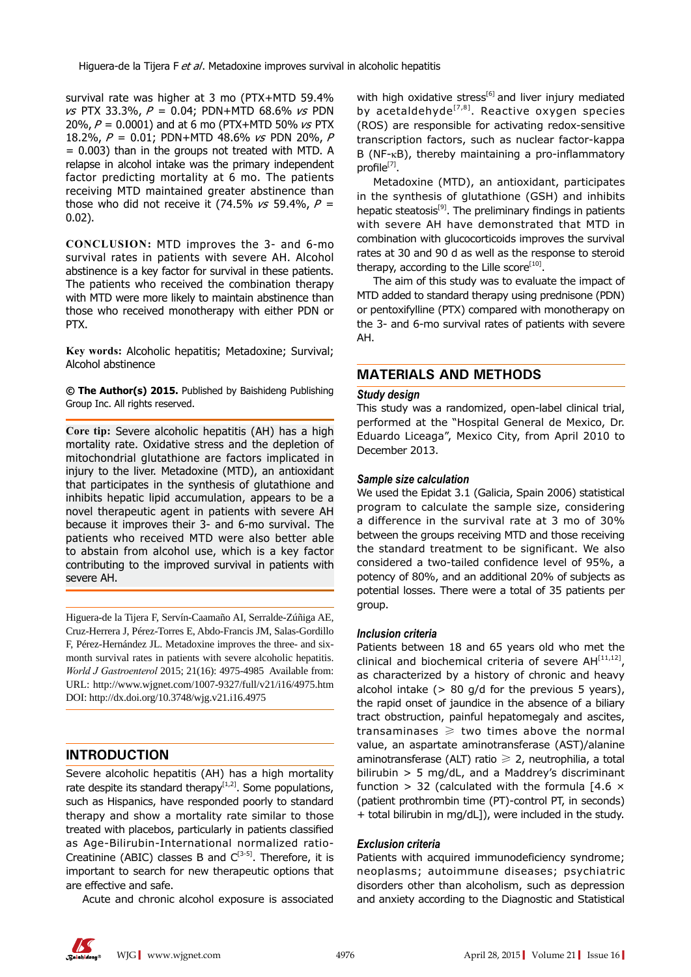survival rate was higher at 3 mo (PTX+MTD 59.4%  $v s$  PTX 33.3%,  $P = 0.04$ ; PDN+MTD 68.6%  $v s$  PDN 20%,  $P = 0.0001$ ) and at 6 mo (PTX+MTD 50%  $\kappa s$  PTX 18.2%,  $P = 0.01$ ; PDN+MTD 48.6%  $\kappa s$  PDN 20%, P  $= 0.003$ ) than in the groups not treated with MTD. A relapse in alcohol intake was the primary independent factor predicting mortality at 6 mo. The patients receiving MTD maintained greater abstinence than those who did not receive it (74.5%  $\sqrt{vs}$  59.4%,  $P =$ 0.02).

**CONCLUSION:** MTD improves the 3- and 6-mo survival rates in patients with severe AH. Alcohol abstinence is a key factor for survival in these patients. The patients who received the combination therapy with MTD were more likely to maintain abstinence than those who received monotherapy with either PDN or PTX.

**Key words:** Alcoholic hepatitis; Metadoxine; Survival; Alcohol abstinence

**© The Author(s) 2015.** Published by Baishideng Publishing Group Inc. All rights reserved.

**Core tip:** Severe alcoholic hepatitis (AH) has a high mortality rate. Oxidative stress and the depletion of mitochondrial glutathione are factors implicated in injury to the liver. Metadoxine (MTD), an antioxidant that participates in the synthesis of glutathione and inhibits hepatic lipid accumulation, appears to be a novel therapeutic agent in patients with severe AH because it improves their 3- and 6-mo survival. The patients who received MTD were also better able to abstain from alcohol use, which is a key factor contributing to the improved survival in patients with severe AH.

Higuera-de la Tijera F, Servín-Caamaño AI, Serralde-Zúñiga AE, Cruz-Herrera J, Pérez-Torres E, Abdo-Francis JM, Salas-Gordillo F, Pérez-Hernández JL. Metadoxine improves the three- and sixmonth survival rates in patients with severe alcoholic hepatitis. *World J Gastroenterol* 2015; 21(16): 4975-4985 Available from: URL: http://www.wjgnet.com/1007-9327/full/v21/i16/4975.htm DOI: http://dx.doi.org/10.3748/wjg.v21.i16.4975

# **INTRODUCTION**

Severe alcoholic hepatitis (AH) has a high mortality rate despite its standard therapy<sup>[1,2]</sup>. Some populations, such as Hispanics, have responded poorly to standard therapy and show a mortality rate similar to those treated with placebos, particularly in patients classified as Age-Bilirubin-International normalized ratio-Creatinine (ABIC) classes B and  $C^{[3\text{-}5]}$ . Therefore, it is important to search for new therapeutic options that are effective and safe.

Acute and chronic alcohol exposure is associated

with high oxidative stress $^{[6]}$  and liver injury mediated by acetaldehyde<sup>[7,8]</sup>. Reactive oxygen species (ROS) are responsible for activating redox-sensitive transcription factors, such as nuclear factor-kappa B (NF-κB), thereby maintaining a pro-inflammatory profile<sup>[7]</sup>.

Metadoxine (MTD), an antioxidant, participates in the synthesis of glutathione (GSH) and inhibits hepatic steatosis $<sup>[9]</sup>$ . The preliminary findings in patients</sup> with severe AH have demonstrated that MTD in combination with glucocorticoids improves the survival rates at 30 and 90 d as well as the response to steroid therapy, according to the Lille score<sup>[10]</sup>.

The aim of this study was to evaluate the impact of MTD added to standard therapy using prednisone (PDN) or pentoxifylline (PTX) compared with monotherapy on the 3- and 6-mo survival rates of patients with severe AH.

# **MATERIALS AND METHODS**

### *Study design*

This study was a randomized, open-label clinical trial, performed at the "Hospital General de Mexico, Dr. Eduardo Liceaga", Mexico City, from April 2010 to December 2013.

# *Sample size calculation*

We used the Epidat 3.1 (Galicia, Spain 2006) statistical program to calculate the sample size, considering a difference in the survival rate at 3 mo of 30% between the groups receiving MTD and those receiving the standard treatment to be significant. We also considered a two-tailed confidence level of 95%, a potency of 80%, and an additional 20% of subjects as potential losses. There were a total of 35 patients per group.

# *Inclusion criteria*

Patients between 18 and 65 years old who met the clinical and biochemical criteria of severe  $AH^{[11,12]}$ , as characterized by a history of chronic and heavy alcohol intake  $(> 80$  g/d for the previous 5 years), the rapid onset of jaundice in the absence of a biliary tract obstruction, painful hepatomegaly and ascites, transaminases  $\geq$  two times above the normal value, an aspartate aminotransferase (AST)/alanine aminotransferase (ALT) ratio  $\geq 2$ , neutrophilia, a total bilirubin > 5 mg/dL, and a Maddrey's discriminant function  $> 32$  (calculated with the formula [4.6  $\times$ (patient prothrombin time (PT)-control PT, in seconds) + total bilirubin in mg/dL]), were included in the study.

### *Exclusion criteria*

Patients with acquired immunodeficiency syndrome; neoplasms; autoimmune diseases; psychiatric disorders other than alcoholism, such as depression and anxiety according to the Diagnostic and Statistical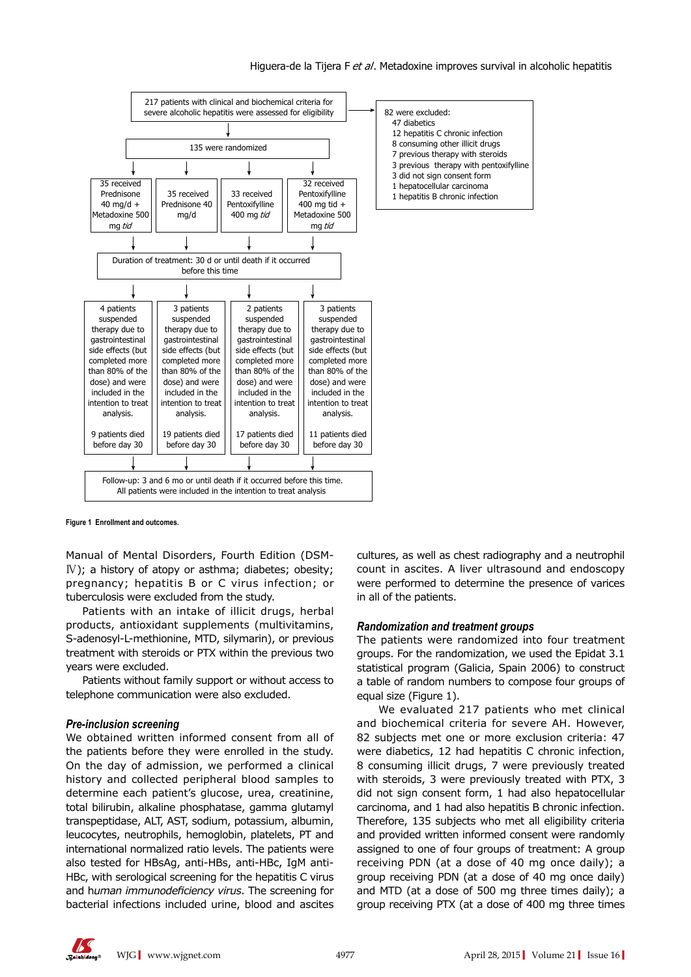

#### **Figure 1 Enrollment and outcomes.**

Manual of Mental Disorders, Fourth Edition (DSM- Ⅳ); a history of atopy or asthma; diabetes; obesity; pregnancy; hepatitis B or C virus infection; or tuberculosis were excluded from the study.

Patients with an intake of illicit drugs, herbal products, antioxidant supplements (multivitamins, S-adenosyl-L-methionine, MTD, silymarin), or previous treatment with steroids or PTX within the previous two years were excluded.

Patients without family support or without access to telephone communication were also excluded.

#### *Pre-inclusion screening*

We obtained written informed consent from all of the patients before they were enrolled in the study. On the day of admission, we performed a clinical history and collected peripheral blood samples to determine each patient's glucose, urea, creatinine, total bilirubin, alkaline phosphatase, gamma glutamyl transpeptidase, ALT, AST, sodium, potassium, albumin, leucocytes, neutrophils, hemoglobin, platelets, PT and international normalized ratio levels. The patients were also tested for HBsAg, anti-HBs, anti-HBc, IgM anti-HBc, with serological screening for the hepatitis C virus and h*uman immunodeficiency virus*. The screening for bacterial infections included urine, blood and ascites

cultures, as well as chest radiography and a neutrophil count in ascites. A liver ultrasound and endoscopy were performed to determine the presence of varices in all of the patients.

### *Randomization and treatment groups*

The patients were randomized into four treatment groups. For the randomization, we used the Epidat 3.1 statistical program (Galicia, Spain 2006) to construct a table of random numbers to compose four groups of equal size (Figure 1).

 We evaluated 217 patients who met clinical and biochemical criteria for severe AH. However, 82 subjects met one or more exclusion criteria: 47 were diabetics, 12 had hepatitis C chronic infection, 8 consuming illicit drugs, 7 were previously treated with steroids, 3 were previously treated with PTX, 3 did not sign consent form, 1 had also hepatocellular carcinoma, and 1 had also hepatitis B chronic infection. Therefore, 135 subjects who met all eligibility criteria and provided written informed consent were randomly assigned to one of four groups of treatment: A group receiving PDN (at a dose of 40 mg once daily); a group receiving PDN (at a dose of 40 mg once daily) and MTD (at a dose of 500 mg three times daily); a group receiving PTX (at a dose of 400 mg three times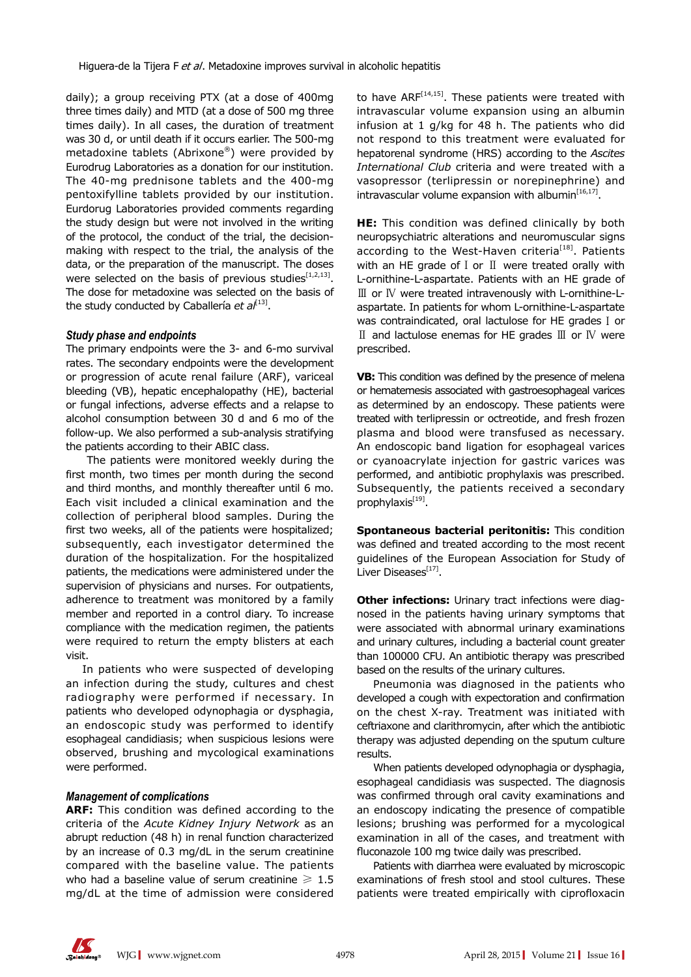daily); a group receiving PTX (at a dose of 400mg three times daily) and MTD (at a dose of 500 mg three times daily). In all cases, the duration of treatment was 30 d, or until death if it occurs earlier. The 500-mg metadoxine tablets (Abrixone®) were provided by Eurodrug Laboratories as a donation for our institution. The 40-mg prednisone tablets and the 400-mg pentoxifylline tablets provided by our institution. Eurdorug Laboratories provided comments regarding the study design but were not involved in the writing of the protocol, the conduct of the trial, the decisionmaking with respect to the trial, the analysis of the data, or the preparation of the manuscript. The doses were selected on the basis of previous studies<sup>[1,2,13]</sup>. The dose for metadoxine was selected on the basis of the study conducted by Caballería *et al*<sup>[13]</sup>.

# *Study phase and endpoints*

The primary endpoints were the 3- and 6-mo survival rates. The secondary endpoints were the development or progression of acute renal failure (ARF), variceal bleeding (VB), hepatic encephalopathy (HE), bacterial or fungal infections, adverse effects and a relapse to alcohol consumption between 30 d and 6 mo of the follow-up. We also performed a sub-analysis stratifying the patients according to their ABIC class.

 The patients were monitored weekly during the first month, two times per month during the second and third months, and monthly thereafter until 6 mo. Each visit included a clinical examination and the collection of peripheral blood samples. During the first two weeks, all of the patients were hospitalized; subsequently, each investigator determined the duration of the hospitalization. For the hospitalized patients, the medications were administered under the supervision of physicians and nurses. For outpatients, adherence to treatment was monitored by a family member and reported in a control diary. To increase compliance with the medication regimen, the patients were required to return the empty blisters at each visit.

In patients who were suspected of developing an infection during the study, cultures and chest radiography were performed if necessary. In patients who developed odynophagia or dysphagia, an endoscopic study was performed to identify esophageal candidiasis; when suspicious lesions were observed, brushing and mycological examinations were performed.

# *Management of complications*

**ARF:** This condition was defined according to the criteria of the *Acute Kidney Injury Network* as an abrupt reduction (48 h) in renal function characterized by an increase of 0.3 mg/dL in the serum creatinine compared with the baseline value. The patients who had a baseline value of serum creatinine  $\geq 1.5$ mg/dL at the time of admission were considered to have ARF<sup>[14,15]</sup>. These patients were treated with intravascular volume expansion using an albumin infusion at 1 g/kg for 48 h. The patients who did not respond to this treatment were evaluated for hepatorenal syndrome (HRS) according to the *Ascites International Club* criteria and were treated with a vasopressor (terlipressin or norepinephrine) and intravascular volume expansion with albumin $[16,17]$ .

**HE:** This condition was defined clinically by both neuropsychiatric alterations and neuromuscular signs according to the West-Haven criteria<sup>[18]</sup>. Patients with an HE grade of Ⅰ or Ⅱ were treated orally with L-ornithine-L-aspartate. Patients with an HE grade of Ⅲ or Ⅳ were treated intravenously with L-ornithine-Laspartate. In patients for whom L-ornithine-L-aspartate was contraindicated, oral lactulose for HE grades I or Ⅱ and lactulose enemas for HE grades Ⅲ or Ⅳ were prescribed.

**VB:** This condition was defined by the presence of melena or hematemesis associated with gastroesophageal varices as determined by an endoscopy. These patients were treated with terlipressin or octreotide, and fresh frozen plasma and blood were transfused as necessary. An endoscopic band ligation for esophageal varices or cyanoacrylate injection for gastric varices was performed, and antibiotic prophylaxis was prescribed. Subsequently, the patients received a secondary prophylaxis $[19]$ .

**Spontaneous bacterial peritonitis:** This condition was defined and treated according to the most recent guidelines of the European Association for Study of Liver Diseases<sup>[17]</sup>.

**Other infections:** Urinary tract infections were diagnosed in the patients having urinary symptoms that were associated with abnormal urinary examinations and urinary cultures, including a bacterial count greater than 100000 CFU. An antibiotic therapy was prescribed based on the results of the urinary cultures.

Pneumonia was diagnosed in the patients who developed a cough with expectoration and confirmation on the chest X-ray. Treatment was initiated with ceftriaxone and clarithromycin, after which the antibiotic therapy was adjusted depending on the sputum culture results.

When patients developed odynophagia or dysphagia, esophageal candidiasis was suspected. The diagnosis was confirmed through oral cavity examinations and an endoscopy indicating the presence of compatible lesions; brushing was performed for a mycological examination in all of the cases, and treatment with fluconazole 100 mg twice daily was prescribed.

Patients with diarrhea were evaluated by microscopic examinations of fresh stool and stool cultures. These patients were treated empirically with ciprofloxacin

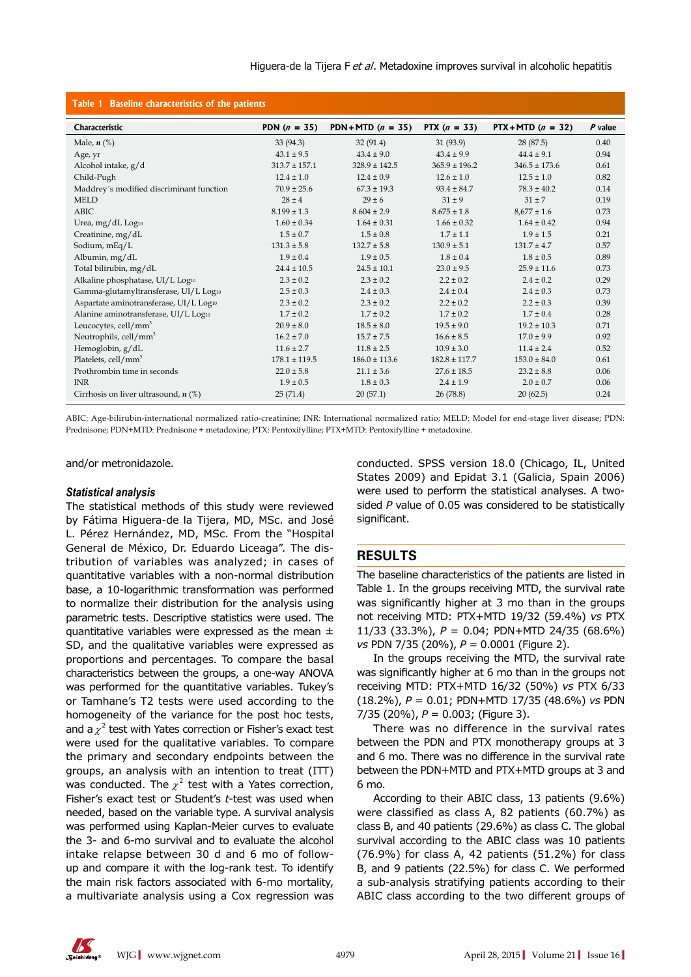| Table 1 Baseline characteristics of the patients |                   |                    |                   |                              |           |
|--------------------------------------------------|-------------------|--------------------|-------------------|------------------------------|-----------|
| Characteristic                                   | PDN $(n = 35)$    | $PDN+MTD (n = 35)$ | PTX $(n = 33)$    | $PTX + MTD$ ( <i>n</i> = 32) | $P$ value |
| Male, $n$ (%)                                    | 33(94.3)          | 32(91.4)           | 31(93.9)          | 28(87.5)                     | 0.40      |
| Age, yr                                          | $43.1 \pm 9.5$    | $43.4 \pm 9.0$     | $43.4 \pm 9.9$    | $44.4 \pm 9.1$               | 0.94      |
| Alcohol intake, g/d                              | $313.7 \pm 157.1$ | $328.9 \pm 142.5$  | $365.9 \pm 196.2$ | $346.5 \pm 173.6$            | 0.61      |
| Child-Pugh                                       | $12.4 \pm 1.0$    | $12.4 \pm 0.9$     | $12.6 \pm 1.0$    | $12.5 \pm 1.0$               | 0.82      |
| Maddrey's modified discriminant function         | $70.9 \pm 25.6$   | $67.3 \pm 19.3$    | $93.4 \pm 84.7$   | $78.3 \pm 40.2$              | 0.14      |
| <b>MELD</b>                                      | $28 \pm 4$        | $29 \pm 6$         | $31 \pm 9$        | $31 \pm 7$                   | 0.19      |
| ABIC                                             | $8.199 \pm 1.3$   | $8.604 \pm 2.9$    | $8.675 \pm 1.8$   | $8,677 \pm 1.6$              | 0.73      |
| Urea, mg/dL Log10                                | $1.60 \pm 0.34$   | $1.64 \pm 0.31$    | $1.66 \pm 0.32$   | $1.64 \pm 0.42$              | 0.94      |
| Creatinine, mg/dL                                | $1.5 \pm 0.7$     | $1.5 \pm 0.8$      | $1.7 \pm 1.1$     | $1.9 \pm 1.5$                | 0.21      |
| Sodium, mEq/L                                    | $131.3 \pm 5.8$   | $132.7 \pm 5.8$    | $130.9 \pm 5.1$   | $131.7 \pm 4.7$              | 0.57      |
| Albumin, mg/dL                                   | $1.9 \pm 0.4$     | $1.9 \pm 0.5$      | $1.8 \pm 0.4$     | $1.8 \pm 0.5$                | 0.89      |
| Total bilirubin, mg/dL                           | $24.4 \pm 10.5$   | $24.5 \pm 10.1$    | $23.0 \pm 9.5$    | $25.9 \pm 11.6$              | 0.73      |
| Alkaline phosphatase, UI/L Log10                 | $2.3 \pm 0.2$     | $2.3 \pm 0.2$      | $2.2 \pm 0.2$     | $2.4 \pm 0.2$                | 0.29      |
| Gamma-glutamyltransferase, UI/L Log10            | $2.5 \pm 0.3$     | $2.4 \pm 0.3$      | $2.4 \pm 0.4$     | $2.4 \pm 0.3$                | 0.73      |
| Aspartate aminotransferase, UI/L Log10           | $2.3 \pm 0.2$     | $2.3 \pm 0.2$      | $2.2 \pm 0.2$     | $2.2 \pm 0.3$                | 0.39      |
| Alanine aminotransferase, UI/L Log10             | $1.7 \pm 0.2$     | $1.7 \pm 0.2$      | $1.7 \pm 0.2$     | $1.7 \pm 0.4$                | 0.28      |
| Leucocytes, cell/ $mm3$                          | $20.9 \pm 8.0$    | $18.5 \pm 8.0$     | $19.5 \pm 9.0$    | $19.2 \pm 10.3$              | 0.71      |
| Neutrophils, cell/mm <sup>3</sup>                | $16.2 \pm 7.0$    | $15.7 \pm 7.5$     | $16.6 \pm 8.5$    | $17.0 \pm 9.9$               | 0.92      |
| Hemoglobin, g/dL                                 | $11.6 \pm 2.7$    | $11.8 \pm 2.5$     | $10.9 \pm 3.0$    | $11.4 \pm 2.4$               | 0.52      |
| Platelets, cell/mm <sup>3</sup>                  | $178.1 \pm 119.5$ | $186.0 \pm 113.6$  | $182.8 \pm 117.7$ | $153.0 \pm 84.0$             | 0.61      |
| Prothrombin time in seconds                      | $22.0 \pm 5.8$    | $21.1 \pm 3.6$     | $27.6 \pm 18.5$   | $23.2 \pm 8.8$               | 0.06      |
| <b>INR</b>                                       | $1.9 \pm 0.5$     | $1.8 \pm 0.3$      | $2.4 \pm 1.9$     | $2.0 \pm 0.7$                | 0.06      |
| Cirrhosis on liver ultrasound, $n$ (%)           | 25(71.4)          | 20(57.1)           | 26(78.8)          | 20(62.5)                     | 0.24      |

ABIC: Age-bilirubin-international normalized ratio-creatinine; INR: International normalized ratio; MELD: Model for end-stage liver disease; PDN: Prednisone; PDN+MTD: Prednisone + metadoxine; PTX: Pentoxifylline; PTX+MTD: Pentoxifylline + metadoxine.

and/or metronidazole.

### *Statistical analysis*

The statistical methods of this study were reviewed by Fátima Higuera-de la Tijera, MD, MSc. and José L. Pérez Hernández, MD, MSc. From the "Hospital General de México, Dr. Eduardo Liceaga". The distribution of variables was analyzed; in cases of quantitative variables with a non-normal distribution base, a 10-logarithmic transformation was performed to normalize their distribution for the analysis using parametric tests. Descriptive statistics were used. The quantitative variables were expressed as the mean  $\pm$ SD, and the qualitative variables were expressed as proportions and percentages. To compare the basal characteristics between the groups, a one-way ANOVA was performed for the quantitative variables. Tukey's or Tamhane's T2 tests were used according to the homogeneity of the variance for the post hoc tests, and a $\chi^2$  test with Yates correction or Fisher's exact test were used for the qualitative variables. To compare the primary and secondary endpoints between the groups, an analysis with an intention to treat (ITT) was conducted. The  $\chi^2$  test with a Yates correction, Fisher's exact test or Student's *t*-test was used when needed, based on the variable type. A survival analysis was performed using Kaplan-Meier curves to evaluate the 3- and 6-mo survival and to evaluate the alcohol intake relapse between 30 d and 6 mo of followup and compare it with the log-rank test. To identify the main risk factors associated with 6-mo mortality, a multivariate analysis using a Cox regression was

conducted. SPSS version 18.0 (Chicago, IL, United States 2009) and Epidat 3.1 (Galicia, Spain 2006) were used to perform the statistical analyses. A twosided *P* value of 0.05 was considered to be statistically significant.

# **RESULTS**

The baseline characteristics of the patients are listed in Table 1. In the groups receiving MTD, the survival rate was significantly higher at 3 mo than in the groups not receiving MTD: PTX+MTD 19/32 (59.4%) *vs* PTX 11/33 (33.3%), *P* = 0.04; PDN+MTD 24/35 (68.6%) *vs* PDN 7/35 (20%), *P =* 0.0001 (Figure 2).

In the groups receiving the MTD, the survival rate was significantly higher at 6 mo than in the groups not receiving MTD: PTX+MTD 16/32 (50%) *vs* PTX 6/33 (18.2%), *P* = 0.01; PDN+MTD 17/35 (48.6%) *vs* PDN 7/35 (20%), *P* = 0.003; (Figure 3).

There was no difference in the survival rates between the PDN and PTX monotherapy groups at 3 and 6 mo. There was no difference in the survival rate between the PDN+MTD and PTX+MTD groups at 3 and 6 mo.

According to their ABIC class, 13 patients (9.6%) were classified as class A, 82 patients (60.7%) as class B, and 40 patients (29.6%) as class C. The global survival according to the ABIC class was 10 patients (76.9%) for class A, 42 patients (51.2%) for class B, and 9 patients (22.5%) for class C. We performed a sub-analysis stratifying patients according to their ABIC class according to the two different groups of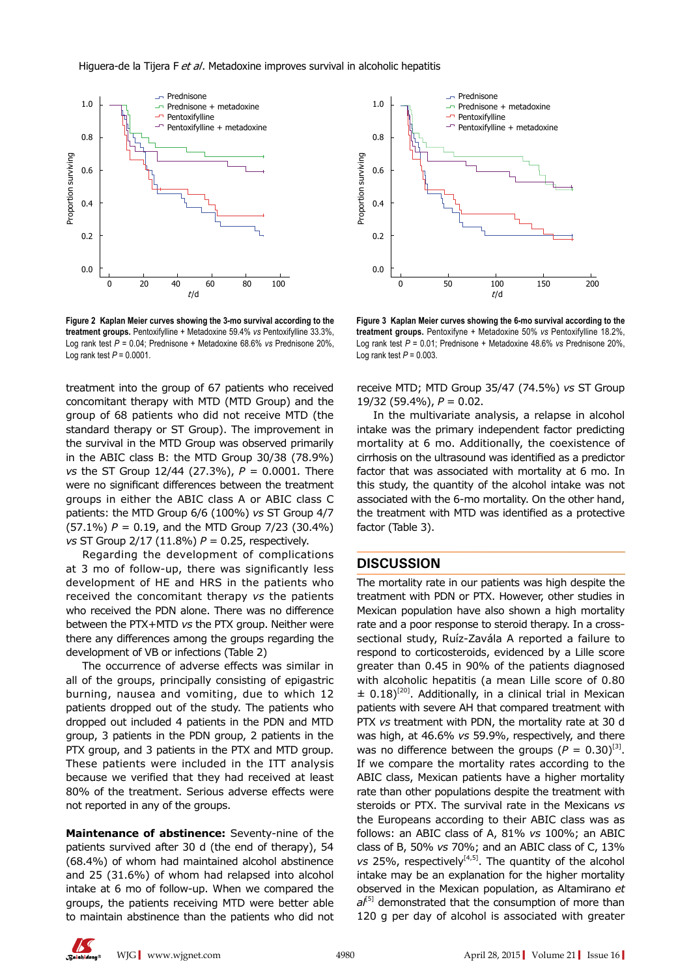Higuera-de la Tijera F *et al*. Metadoxine improves survival in alcoholic hepatitis



**Figure 2 Kaplan Meier curves showing the 3-mo survival according to the treatment groups.** Pentoxifylline + Metadoxine 59.4% *vs* Pentoxifylline 33.3%, Log rank test *P* = 0.04; Prednisone + Metadoxine 68.6% *vs* Prednisone 20%, Log rank test *P* = 0.0001.

treatment into the group of 67 patients who received concomitant therapy with MTD (MTD Group) and the group of 68 patients who did not receive MTD (the standard therapy or ST Group). The improvement in the survival in the MTD Group was observed primarily in the ABIC class B: the MTD Group 30/38 (78.9%) *vs* the ST Group 12/44 (27.3%), *P =* 0.0001*.* There were no significant differences between the treatment groups in either the ABIC class A or ABIC class C patients: the MTD Group 6/6 (100%) *vs* ST Group 4/7 (57.1%) *P =* 0.19, and the MTD Group 7/23 (30.4%) *vs* ST Group 2/17 (11.8%) *P =* 0.25, respectively.

Regarding the development of complications at 3 mo of follow-up, there was significantly less development of HE and HRS in the patients who received the concomitant therapy *vs* the patients who received the PDN alone. There was no difference between the PTX+MTD *vs* the PTX group. Neither were there any differences among the groups regarding the development of VB or infections (Table 2)

The occurrence of adverse effects was similar in all of the groups, principally consisting of epigastric burning, nausea and vomiting, due to which 12 patients dropped out of the study. The patients who dropped out included 4 patients in the PDN and MTD group, 3 patients in the PDN group, 2 patients in the PTX group, and 3 patients in the PTX and MTD group. These patients were included in the ITT analysis because we verified that they had received at least 80% of the treatment. Serious adverse effects were not reported in any of the groups.

**Maintenance of abstinence:** Seventy-nine of the patients survived after 30 d (the end of therapy), 54 (68.4%) of whom had maintained alcohol abstinence and 25 (31.6%) of whom had relapsed into alcohol intake at 6 mo of follow-up. When we compared the groups, the patients receiving MTD were better able to maintain abstinence than the patients who did not



**Figure 3 Kaplan Meier curves showing the 6-mo survival according to the treatment groups.** Pentoxifyne + Metadoxine 50% *vs* Pentoxifylline 18.2%, Log rank test *P* = 0.01; Prednisone + Metadoxine 48.6% *vs* Prednisone 20%, Log rank test *P* = 0.003.

receive MTD; MTD Group 35/47 (74.5%) *vs* ST Group 19/32 (59.4%), *P* = 0.02.

In the multivariate analysis, a relapse in alcohol intake was the primary independent factor predicting mortality at 6 mo. Additionally, the coexistence of cirrhosis on the ultrasound was identified as a predictor factor that was associated with mortality at 6 mo. In this study, the quantity of the alcohol intake was not associated with the 6-mo mortality. On the other hand, the treatment with MTD was identified as a protective factor (Table 3).

# **DISCUSSION**

The mortality rate in our patients was high despite the treatment with PDN or PTX. However, other studies in Mexican population have also shown a high mortality rate and a poor response to steroid therapy. In a crosssectional study, Ruíz-Zavála A reported a failure to respond to corticosteroids, evidenced by a Lille score greater than 0.45 in 90% of the patients diagnosed with alcoholic hepatitis (a mean Lille score of 0.80  $\pm$  0.18)<sup>[20]</sup>. Additionally, in a clinical trial in Mexican patients with severe AH that compared treatment with PTX *vs* treatment with PDN, the mortality rate at 30 d was high, at 46.6% *vs* 59.9%, respectively, and there was no difference between the groups  $(P = 0.30)^{3}$ . If we compare the mortality rates according to the ABIC class, Mexican patients have a higher mortality rate than other populations despite the treatment with steroids or PTX. The survival rate in the Mexicans *vs* the Europeans according to their ABIC class was as follows: an ABIC class of A, 81% *vs* 100%; an ABIC class of B, 50% *vs* 70%; and an ABIC class of C, 13% *vs* 25%, respectively<sup> $[4,5]$ </sup>. The quantity of the alcohol intake may be an explanation for the higher mortality observed in the Mexican population, as Altamirano *et*   $al^{[5]}$  demonstrated that the consumption of more than 120 g per day of alcohol is associated with greater

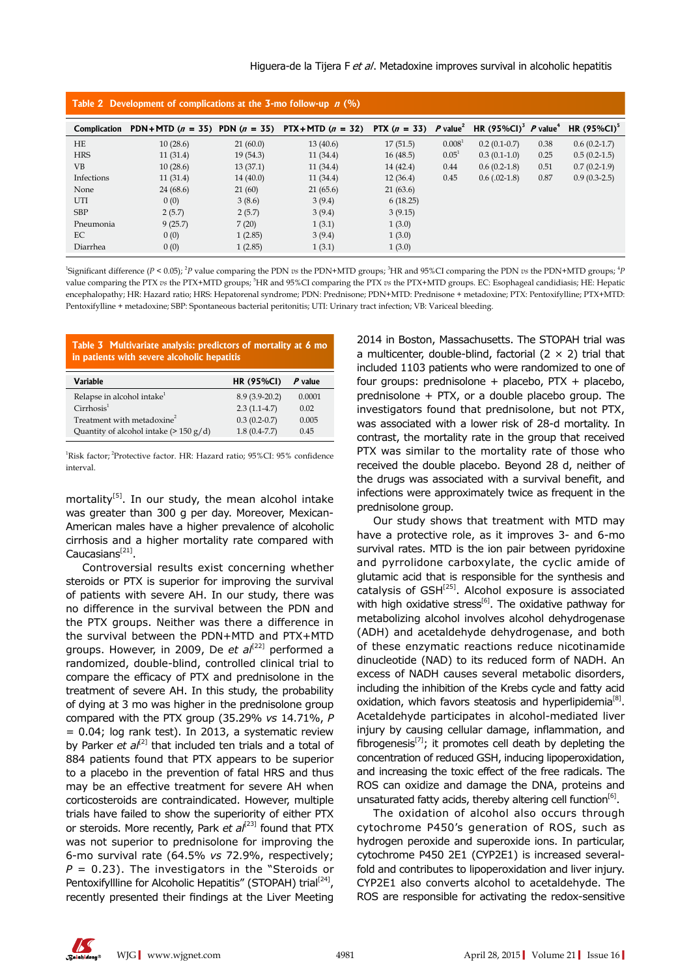| Table 2 Development of complications at the 3-mo follow-up $n$ (%) |          |          |                                                                                                                                     |          |                    |                                      |      |                 |
|--------------------------------------------------------------------|----------|----------|-------------------------------------------------------------------------------------------------------------------------------------|----------|--------------------|--------------------------------------|------|-----------------|
| Complication                                                       |          |          | <b>PDN+MTD</b> ( $n = 35$ ) <b>PDN</b> ( $n = 35$ ) <b>PTX+MTD</b> ( $n = 32$ ) <b>PTX</b> ( $n = 33$ ) <i>P</i> value <sup>2</sup> |          |                    | HR $(95\%CI)^3$ P value <sup>4</sup> |      | HR $(95\%CI)^5$ |
| <b>HE</b>                                                          | 10(28.6) | 21(60.0) | 13(40.6)                                                                                                                            | 17(51.5) | 0.008 <sup>1</sup> | $0.2(0.1-0.7)$                       | 0.38 | $0.6(0.2-1.7)$  |
| <b>HRS</b>                                                         | 11(31.4) | 19(54.3) | 11(34.4)                                                                                                                            | 16(48.5) | $0.05^1$           | $0.3(0.1-1.0)$                       | 0.25 | $0.5(0.2-1.5)$  |
| <b>VB</b>                                                          | 10(28.6) | 13(37.1) | 11(34.4)                                                                                                                            | 14(42.4) | 0.44               | $0.6(0.2-1.8)$                       | 0.51 | $0.7(0.2-1.9)$  |
| Infections                                                         | 11(31.4) | 14(40.0) | 11(34.4)                                                                                                                            | 12(36.4) | 0.45               | $0.6$ (.02-1.8)                      | 0.87 | $0.9(0.3-2.5)$  |
| None                                                               | 24(68.6) | 21(60)   | 21(65.6)                                                                                                                            | 21(63.6) |                    |                                      |      |                 |
| UTI                                                                | 0(0)     | 3(8.6)   | 3(9.4)                                                                                                                              | 6(18.25) |                    |                                      |      |                 |
| <b>SBP</b>                                                         | 2(5.7)   | 2(5.7)   | 3(9.4)                                                                                                                              | 3(9.15)  |                    |                                      |      |                 |
| Pneumonia                                                          | 9(25.7)  | 7(20)    | 1(3.1)                                                                                                                              | 1(3.0)   |                    |                                      |      |                 |
| EC                                                                 | 0(0)     | 1(2.85)  | 3(9.4)                                                                                                                              | 1(3.0)   |                    |                                      |      |                 |
| Diarrhea                                                           | 0(0)     | 1(2.85)  | 1(3.1)                                                                                                                              | 1(3.0)   |                    |                                      |      |                 |

<sup>1</sup>Significant difference (*P* < 0.05); <sup>2</sup>*P* value comparing the PDN *vs* the PDN+MTD groups; <sup>3</sup>*HR* and 95%CI comparing the PDN *vs* the PDN+MTD groups; <sup>4</sup>*P* value comparing the PTX *vs* the PTX+MTD groups; <sup>5</sup>HR and 95%CI comparing the PTX *vs* the PTX+MTD groups. EC: Esophageal candidiasis; HE: Hepatic encephalopathy; HR: Hazard ratio; HRS: Hepatorenal syndrome; PDN: Prednisone; PDN+MTD: Prednisone + metadoxine; PTX: Pentoxifylline; PTX+MTD: Pentoxifylline + metadoxine; SBP: Spontaneous bacterial peritonitis; UTI: Urinary tract infection; VB: Variceal bleeding.

|                                             | Table 3 Multivariate analysis: predictors of mortality at 6 mo |  |
|---------------------------------------------|----------------------------------------------------------------|--|
| in patients with severe alcoholic hepatitis |                                                                |  |

| Variable                                   | <b>HR (95%CI)</b> | P value |
|--------------------------------------------|-------------------|---------|
| Relapse in alcohol intake <sup>1</sup>     | $8.9(3.9-20.2)$   | 0.0001  |
| Cirrhosis <sup>1</sup>                     | $2.3(1.1-4.7)$    | 0.02    |
| Treatment with metadoxine <sup>2</sup>     | $0.3(0.2-0.7)$    | 0.005   |
| Quantity of alcohol intake ( $> 150 g/d$ ) | $1.8(0.4-7.7)$    | 0.45    |
|                                            |                   |         |

<sup>1</sup>Risk factor; <sup>2</sup>Protective factor. HR: Hazard ratio; 95%CI: 95% confidence interval.

mortality<sup>[5]</sup>. In our study, the mean alcohol intake was greater than 300 g per day. Moreover, Mexican-American males have a higher prevalence of alcoholic cirrhosis and a higher mortality rate compared with Caucasians<sup>[21]</sup>.

Controversial results exist concerning whether steroids or PTX is superior for improving the survival of patients with severe AH. In our study, there was no difference in the survival between the PDN and the PTX groups. Neither was there a difference in the survival between the PDN+MTD and PTX+MTD groups. However, in 2009, De et al<sup>[22]</sup> performed a randomized, double-blind, controlled clinical trial to compare the efficacy of PTX and prednisolone in the treatment of severe AH. In this study, the probability of dying at 3 mo was higher in the prednisolone group compared with the PTX group (35.29% *vs* 14.71%, *P*   $= 0.04$ ; log rank test). In 2013, a systematic review by Parker *et al*<sup>[2]</sup> that included ten trials and a total of 884 patients found that PTX appears to be superior to a placebo in the prevention of fatal HRS and thus may be an effective treatment for severe AH when corticosteroids are contraindicated. However, multiple trials have failed to show the superiority of either PTX or steroids. More recently, Park *et al*<sup>[23]</sup> found that PTX was not superior to prednisolone for improving the 6-mo survival rate (64.5% *vs* 72.9%, respectively;  $P = 0.23$ ). The investigators in the "Steroids or Pentoxifyllline for Alcoholic Hepatitis" (STOPAH) trial<sup>[24]</sup>, recently presented their findings at the Liver Meeting

2014 in Boston, Massachusetts. The STOPAH trial was a multicenter, double-blind, factorial  $(2 \times 2)$  trial that included 1103 patients who were randomized to one of four groups: prednisolone + placebo,  $PTX +$  placebo, prednisolone + PTX, or a double placebo group. The investigators found that prednisolone, but not PTX, was associated with a lower risk of 28-d mortality. In contrast, the mortality rate in the group that received PTX was similar to the mortality rate of those who received the double placebo. Beyond 28 d, neither of the drugs was associated with a survival benefit, and infections were approximately twice as frequent in the prednisolone group.

Our study shows that treatment with MTD may have a protective role, as it improves 3- and 6-mo survival rates. MTD is the ion pair between pyridoxine and pyrrolidone carboxylate, the cyclic amide of glutamic acid that is responsible for the synthesis and catalysis of  $GSH^{[25]}$ . Alcohol exposure is associated with high oxidative stress<sup>[6]</sup>. The oxidative pathway for metabolizing alcohol involves alcohol dehydrogenase (ADH) and acetaldehyde dehydrogenase, and both of these enzymatic reactions reduce nicotinamide dinucleotide (NAD) to its reduced form of NADH. An excess of NADH causes several metabolic disorders, including the inhibition of the Krebs cycle and fatty acid oxidation, which favors steatosis and hyperlipidemia<sup>[8]</sup>. Acetaldehyde participates in alcohol-mediated liver injury by causing cellular damage, inflammation, and fibrogenesis<sup>[7]</sup>; it promotes cell death by depleting the concentration of reduced GSH, inducing lipoperoxidation, and increasing the toxic effect of the free radicals. The ROS can oxidize and damage the DNA, proteins and unsaturated fatty acids, thereby altering cell function<sup>[6]</sup>.

The oxidation of alcohol also occurs through cytochrome P450's generation of ROS, such as hydrogen peroxide and superoxide ions. In particular, cytochrome P450 2E1 (CYP2E1) is increased severalfold and contributes to lipoperoxidation and liver injury. CYP2E1 also converts alcohol to acetaldehyde. The ROS are responsible for activating the redox-sensitive

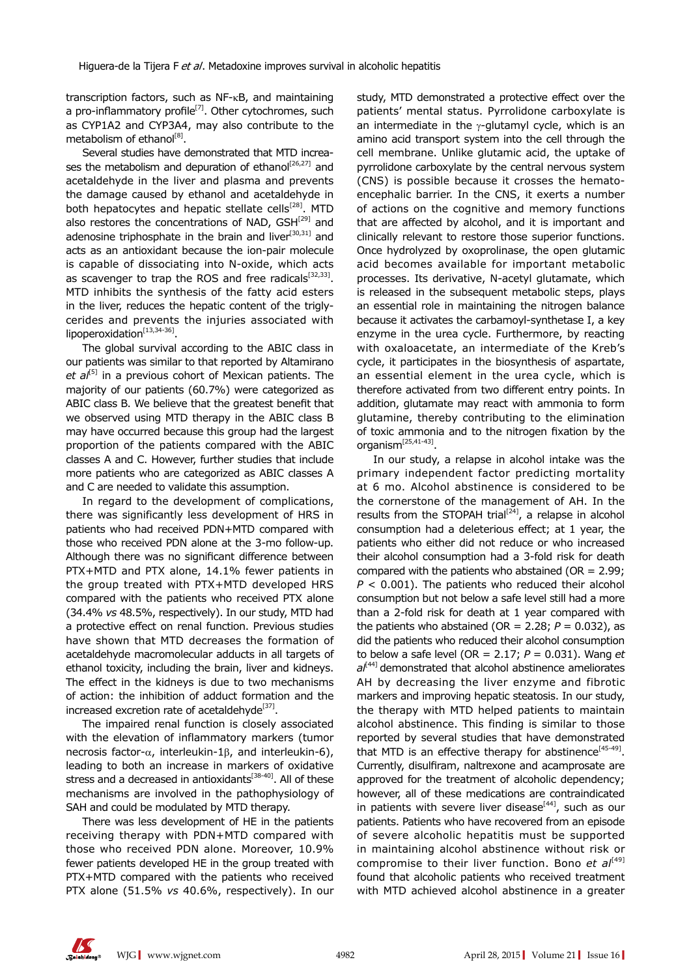transcription factors, such as  $NF_{K}B$ , and maintaining a pro-inflammatory profile<sup>[7]</sup>. Other cytochromes, such as CYP1A2 and CYP3A4, may also contribute to the metabolism of ethanol<sup>[8]</sup>.

Several studies have demonstrated that MTD increases the metabolism and depuration of ethanol<sup>[26,27]</sup> and acetaldehyde in the liver and plasma and prevents the damage caused by ethanol and acetaldehyde in both hepatocytes and hepatic stellate cells<sup>[28]</sup>. MTD also restores the concentrations of NAD, GSH<sup>[29]</sup> and adenosine triphosphate in the brain and liver<sup>[30,31]</sup> and acts as an antioxidant because the ion-pair molecule is capable of dissociating into N-oxide, which acts as scavenger to trap the ROS and free radicals $[32,33]$ . MTD inhibits the synthesis of the fatty acid esters in the liver, reduces the hepatic content of the triglycerides and prevents the injuries associated with lipoperoxidation[13,34-36].

The global survival according to the ABIC class in our patients was similar to that reported by Altamirano et al<sup>[5]</sup> in a previous cohort of Mexican patients. The majority of our patients (60.7%) were categorized as ABIC class B. We believe that the greatest benefit that we observed using MTD therapy in the ABIC class B may have occurred because this group had the largest proportion of the patients compared with the ABIC classes A and C. However, further studies that include more patients who are categorized as ABIC classes A and C are needed to validate this assumption.

In regard to the development of complications, there was significantly less development of HRS in patients who had received PDN+MTD compared with those who received PDN alone at the 3-mo follow-up. Although there was no significant difference between PTX+MTD and PTX alone, 14.1% fewer patients in the group treated with PTX+MTD developed HRS compared with the patients who received PTX alone (34.4% *vs* 48.5%, respectively). In our study, MTD had a protective effect on renal function. Previous studies have shown that MTD decreases the formation of acetaldehyde macromolecular adducts in all targets of ethanol toxicity, including the brain, liver and kidneys. The effect in the kidneys is due to two mechanisms of action: the inhibition of adduct formation and the increased excretion rate of acetaldehyde $[37]$ .

The impaired renal function is closely associated with the elevation of inflammatory markers (tumor necrosis factor- $\alpha$ , interleukin-1β, and interleukin-6), leading to both an increase in markers of oxidative stress and a decreased in antioxidants<sup>[38-40]</sup>. All of these mechanisms are involved in the pathophysiology of SAH and could be modulated by MTD therapy.

There was less development of HE in the patients receiving therapy with PDN+MTD compared with those who received PDN alone. Moreover, 10.9% fewer patients developed HE in the group treated with PTX+MTD compared with the patients who received PTX alone (51.5% *vs* 40.6%, respectively). In our study, MTD demonstrated a protective effect over the patients' mental status. Pyrrolidone carboxylate is an intermediate in the  $\gamma$ -glutamyl cycle, which is an amino acid transport system into the cell through the cell membrane. Unlike glutamic acid, the uptake of pyrrolidone carboxylate by the central nervous system (CNS) is possible because it crosses the hematoencephalic barrier. In the CNS, it exerts a number of actions on the cognitive and memory functions that are affected by alcohol, and it is important and clinically relevant to restore those superior functions. Once hydrolyzed by oxoprolinase, the open glutamic acid becomes available for important metabolic processes. Its derivative, N-acetyl glutamate, which is released in the subsequent metabolic steps, plays an essential role in maintaining the nitrogen balance because it activates the carbamoyl-synthetase I, a key enzyme in the urea cycle. Furthermore, by reacting with oxaloacetate, an intermediate of the Kreb's cycle, it participates in the biosynthesis of aspartate, an essential element in the urea cycle, which is therefore activated from two different entry points. In addition, glutamate may react with ammonia to form glutamine, thereby contributing to the elimination of toxic ammonia and to the nitrogen fixation by the organism[25,41-43].

In our study, a relapse in alcohol intake was the primary independent factor predicting mortality at 6 mo. Alcohol abstinence is considered to be the cornerstone of the management of AH. In the results from the STOPAH trial<sup>[24]</sup>, a relapse in alcohol consumption had a deleterious effect; at 1 year, the patients who either did not reduce or who increased their alcohol consumption had a 3-fold risk for death compared with the patients who abstained (OR = 2.99;  $P < 0.001$ ). The patients who reduced their alcohol consumption but not below a safe level still had a more than a 2-fold risk for death at 1 year compared with the patients who abstained (OR =  $2.28$ ;  $P = 0.032$ ), as did the patients who reduced their alcohol consumption to below a safe level (OR = 2.17; *P* = 0.031). Wang *et al*[44] demonstrated that alcohol abstinence ameliorates AH by decreasing the liver enzyme and fibrotic markers and improving hepatic steatosis. In our study, the therapy with MTD helped patients to maintain alcohol abstinence. This finding is similar to those reported by several studies that have demonstrated that MTD is an effective therapy for abstinence<sup>[45-49]</sup>. Currently, disulfiram, naltrexone and acamprosate are approved for the treatment of alcoholic dependency; however, all of these medications are contraindicated in patients with severe liver disease $[44]$ , such as our patients. Patients who have recovered from an episode of severe alcoholic hepatitis must be supported in maintaining alcohol abstinence without risk or compromise to their liver function. Bono et al<sup>[49]</sup> found that alcoholic patients who received treatment with MTD achieved alcohol abstinence in a greater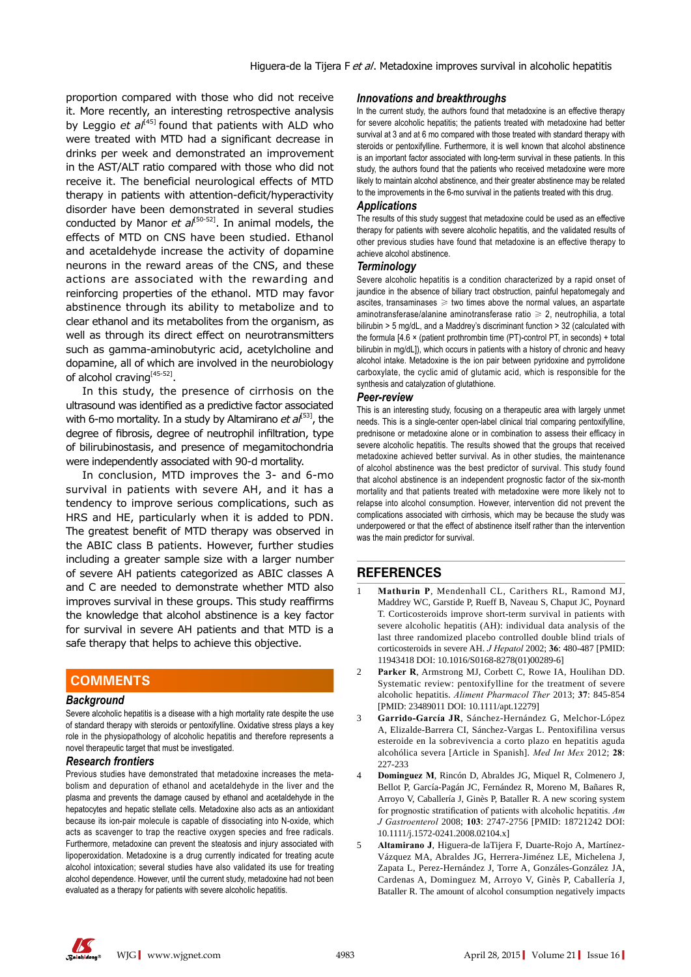proportion compared with those who did not receive it. More recently, an interesting retrospective analysis by Leggio *et al*<sup>[45]</sup> found that patients with ALD who were treated with MTD had a significant decrease in drinks per week and demonstrated an improvement in the AST/ALT ratio compared with those who did not receive it. The beneficial neurological effects of MTD therapy in patients with attention-deficit/hyperactivity disorder have been demonstrated in several studies conducted by Manor *et al*<sup>[50-52]</sup>. In animal models, the effects of MTD on CNS have been studied. Ethanol and acetaldehyde increase the activity of dopamine neurons in the reward areas of the CNS, and these actions are associated with the rewarding and reinforcing properties of the ethanol. MTD may favor abstinence through its ability to metabolize and to clear ethanol and its metabolites from the organism, as well as through its direct effect on neurotransmitters such as gamma-aminobutyric acid, acetylcholine and dopamine, all of which are involved in the neurobiology of alcohol craving<sup>[45-52]</sup>.

In this study, the presence of cirrhosis on the ultrasound was identified as a predictive factor associated with 6-mo mortality. In a study by Altamirano *et al*<sup>[53]</sup>, the degree of fibrosis, degree of neutrophil infiltration, type of bilirubinostasis, and presence of megamitochondria were independently associated with 90-d mortality.

In conclusion, MTD improves the 3- and 6-mo survival in patients with severe AH, and it has a tendency to improve serious complications, such as HRS and HE, particularly when it is added to PDN. The greatest benefit of MTD therapy was observed in the ABIC class B patients. However, further studies including a greater sample size with a larger number of severe AH patients categorized as ABIC classes A and C are needed to demonstrate whether MTD also improves survival in these groups. This study reaffirms the knowledge that alcohol abstinence is a key factor for survival in severe AH patients and that MTD is a safe therapy that helps to achieve this objective.

# **COMMENTS COMMENTS**

### *Background*

Severe alcoholic hepatitis is a disease with a high mortality rate despite the use of standard therapy with steroids or pentoxifylline. Oxidative stress plays a key role in the physiopathology of alcoholic hepatitis and therefore represents a novel therapeutic target that must be investigated.

#### *Research frontiers*

Previous studies have demonstrated that metadoxine increases the metabolism and depuration of ethanol and acetaldehyde in the liver and the plasma and prevents the damage caused by ethanol and acetaldehyde in the hepatocytes and hepatic stellate cells. Metadoxine also acts as an antioxidant because its ion-pair molecule is capable of dissociating into N-oxide, which acts as scavenger to trap the reactive oxygen species and free radicals. Furthermore, metadoxine can prevent the steatosis and injury associated with lipoperoxidation. Metadoxine is a drug currently indicated for treating acute alcohol intoxication; several studies have also validated its use for treating alcohol dependence. However, until the current study, metadoxine had not been evaluated as a therapy for patients with severe alcoholic hepatitis.

#### *Innovations and breakthroughs*

In the current study, the authors found that metadoxine is an effective therapy for severe alcoholic hepatitis; the patients treated with metadoxine had better survival at 3 and at 6 mo compared with those treated with standard therapy with steroids or pentoxifylline. Furthermore, it is well known that alcohol abstinence is an important factor associated with long-term survival in these patients. In this study, the authors found that the patients who received metadoxine were more likely to maintain alcohol abstinence, and their greater abstinence may be related to the improvements in the 6-mo survival in the patients treated with this drug.

#### *Applications*

The results of this study suggest that metadoxine could be used as an effective therapy for patients with severe alcoholic hepatitis, and the validated results of other previous studies have found that metadoxine is an effective therapy to achieve alcohol abstinence.

#### *Terminology*

Severe alcoholic hepatitis is a condition characterized by a rapid onset of jaundice in the absence of biliary tract obstruction, painful hepatomegaly and ascites, transaminases  $\geq$  two times above the normal values, an aspartate aminotransferase/alanine aminotransferase ratio ≥ 2, neutrophilia, a total bilirubin > 5 mg/dL, and a Maddrey's discriminant function > 32 (calculated with the formula  $[4.6 \times (patient\ problem{prothrombin\ time} (PT)-controlPT, in seconds) + total$ bilirubin in mg/dL]), which occurs in patients with a history of chronic and heavy alcohol intake. Metadoxine is the ion pair between pyridoxine and pyrrolidone carboxylate, the cyclic amid of glutamic acid, which is responsible for the synthesis and catalyzation of glutathione.

#### *Peer-review*

This is an interesting study, focusing on a therapeutic area with largely unmet needs. This is a single-center open-label clinical trial comparing pentoxifylline, prednisone or metadoxine alone or in combination to assess their efficacy in severe alcoholic hepatitis. The results showed that the groups that received metadoxine achieved better survival. As in other studies, the maintenance of alcohol abstinence was the best predictor of survival. This study found that alcohol abstinence is an independent prognostic factor of the six-month mortality and that patients treated with metadoxine were more likely not to relapse into alcohol consumption. However, intervention did not prevent the complications associated with cirrhosis, which may be because the study was underpowered or that the effect of abstinence itself rather than the intervention was the main predictor for survival.

# **REFERENCES**

- Mathurin P, Mendenhall CL, Carithers RL, Ramond MJ, Maddrey WC, Garstide P, Rueff B, Naveau S, Chaput JC, Poynard T. Corticosteroids improve short-term survival in patients with severe alcoholic hepatitis (AH): individual data analysis of the last three randomized placebo controlled double blind trials of corticosteroids in severe AH. *J Hepatol* 2002; **36**: 480-487 [PMID: 11943418 DOI: 10.1016/S0168-8278(01)00289-6]
- 2 **Parker R**, Armstrong MJ, Corbett C, Rowe IA, Houlihan DD. Systematic review: pentoxifylline for the treatment of severe alcoholic hepatitis. *Aliment Pharmacol Ther* 2013; **37**: 845-854 [PMID: 23489011 DOI: 10.1111/apt.12279]
- 3 **Garrido-García JR**, Sánchez-Hernández G, Melchor-López A, Elizalde-Barrera CI, Sánchez-Vargas L. Pentoxifilina versus esteroide en la sobrevivencia a corto plazo en hepatitis aguda alcohólica severa [Article in Spanish]. *Med Int Mex* 2012; **28**: 227-233
- 4 **Dominguez M**, Rincón D, Abraldes JG, Miquel R, Colmenero J, Bellot P, García-Pagán JC, Fernández R, Moreno M, Bañares R, Arroyo V, Caballería J, Ginès P, Bataller R. A new scoring system for prognostic stratification of patients with alcoholic hepatitis. *Am J Gastroenterol* 2008; **103**: 2747-2756 [PMID: 18721242 DOI: 10.1111/j.1572-0241.2008.02104.x]
- 5 **Altamirano J**, Higuera-de laTijera F, Duarte-Rojo A, Martínez-Vázquez MA, Abraldes JG, Herrera-Jiménez LE, Michelena J, Zapata L, Perez-Hernández J, Torre A, Gonzáles-González JA, Cardenas A, Dominguez M, Arroyo V, Ginès P, Caballería J, Bataller R. The amount of alcohol consumption negatively impacts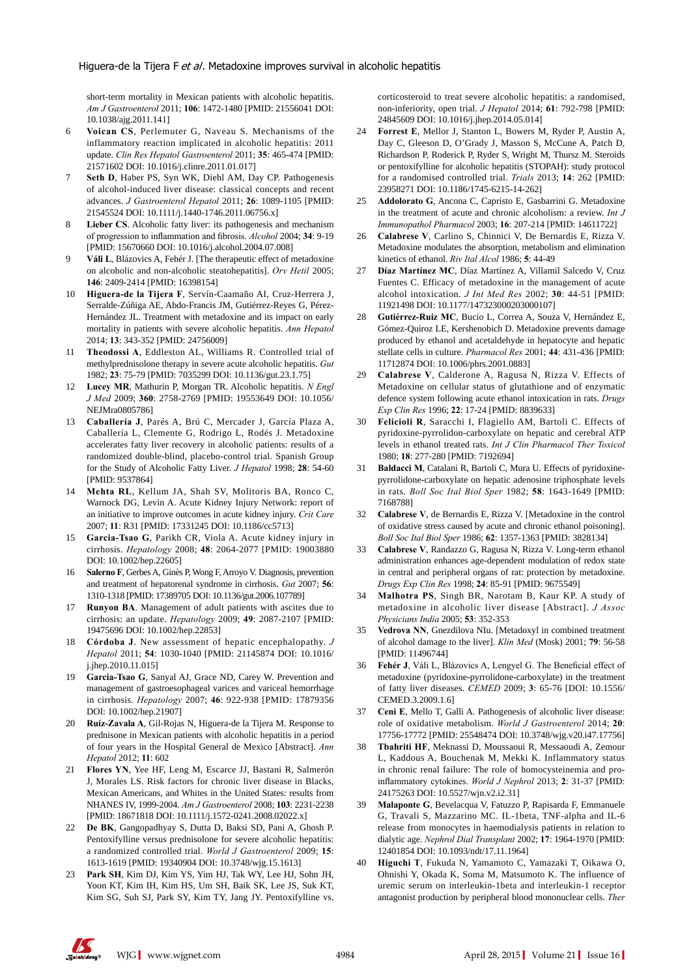short-term mortality in Mexican patients with alcoholic hepatitis. *Am J Gastroenterol* 2011; **106**: 1472-1480 [PMID: 21556041 DOI: 10.1038/ajg.2011.141]

- 6 **Voican CS**, Perlemuter G, Naveau S. Mechanisms of the inflammatory reaction implicated in alcoholic hepatitis: 2011 update. *Clin Res Hepatol Gastroenterol* 2011; **35**: 465-474 [PMID: 21571602 DOI: 10.1016/j.clinre.2011.01.017]
- 7 **Seth D**, Haber PS, Syn WK, Diehl AM, Day CP. Pathogenesis of alcohol-induced liver disease: classical concepts and recent advances. *J Gastroenterol Hepatol* 2011; **26**: 1089-1105 [PMID: 21545524 DOI: 10.1111/j.1440-1746.2011.06756.x]
- 8 **Lieber CS**. Alcoholic fatty liver: its pathogenesis and mechanism of progression to inflammation and fibrosis. *Alcohol* 2004; **34**: 9-19 [PMID: 15670660 DOI: 10.1016/j.alcohol.2004.07.008]
- 9 **Váli L**, Blázovics A, Fehér J. [The therapeutic effect of metadoxine on alcoholic and non-alcoholic steatohepatitis]. *Orv Hetil* 2005; **146**: 2409-2414 [PMID: 16398154]
- 10 **Higuera-de la Tijera F**, Servín-Caamaño AI, Cruz-Herrera J, Serralde-Zúñiga AE, Abdo-Francis JM, Gutiérrez-Reyes G, Pérez-Hernández JL. Treatment with metadoxine and its impact on early mortality in patients with severe alcoholic hepatitis. *Ann Hepatol* 2014; **13**: 343-352 [PMID: 24756009]
- 11 **Theodossi A**, Eddleston AL, Williams R. Controlled trial of methylprednisolone therapy in severe acute alcoholic hepatitis. *Gut* 1982; **23**: 75-79 [PMID: 7035299 DOI: 10.1136/gut.23.1.75]
- 12 **Lucey MR**, Mathurin P, Morgan TR. Alcoholic hepatitis. *N Engl J Med* 2009; **360**: 2758-2769 [PMID: 19553649 DOI: 10.1056/ NEJMra0805786]
- 13 **Caballería J**, Parés A, Brú C, Mercader J, García Plaza A, Caballería L, Clemente G, Rodrigo L, Rodés J. Metadoxine accelerates fatty liver recovery in alcoholic patients: results of a randomized double-blind, placebo-control trial. Spanish Group for the Study of Alcoholic Fatty Liver. *J Hepatol* 1998; **28**: 54-60 [PMID: 9537864]
- 14 **Mehta RL**, Kellum JA, Shah SV, Molitoris BA, Ronco C, Warnock DG, Levin A. Acute Kidney Injury Network: report of an initiative to improve outcomes in acute kidney injury. *Crit Care* 2007; **11**: R31 [PMID: 17331245 DOI: 10.1186/cc5713]
- 15 **Garcia-Tsao G**, Parikh CR, Viola A. Acute kidney injury in cirrhosis. *Hepatology* 2008; **48**: 2064-2077 [PMID: 19003880 DOI: 10.1002/hep.22605]
- 16 **Salerno F**, Gerbes A, Ginès P, Wong F, Arroyo V. Diagnosis, prevention and treatment of hepatorenal syndrome in cirrhosis. *Gut* 2007; **56**: 1310-1318 [PMID: 17389705 DOI: 10.1136/gut.2006.107789]
- 17 **Runyon BA**. Management of adult patients with ascites due to cirrhosis: an update. *Hepatology* 2009; **49**: 2087-2107 [PMID: 19475696 DOI: 10.1002/hep.22853]
- 18 **Córdoba J**. New assessment of hepatic encephalopathy. *J Hepatol* 2011; **54**: 1030-1040 [PMID: 21145874 DOI: 10.1016/ j.jhep.2010.11.015]
- 19 **Garcia-Tsao G**, Sanyal AJ, Grace ND, Carey W. Prevention and management of gastroesophageal varices and variceal hemorrhage in cirrhosis. *Hepatology* 2007; **46**: 922-938 [PMID: 17879356 DOI: 10.1002/hep.21907]
- 20 **Ruíz-Zavala A**, Gil-Rojas N, Higuera-de la Tijera M. Response to prednisone in Mexican patients with alcoholic hepatitis in a period of four years in the Hospital General de Mexico [Abstract]. *Ann Hepatol* 2012; **11**: 602
- 21 **Flores YN**, Yee HF, Leng M, Escarce JJ, Bastani R, Salmerón J, Morales LS. Risk factors for chronic liver disease in Blacks, Mexican Americans, and Whites in the United States: results from NHANES IV, 1999-2004. *Am J Gastroenterol* 2008; **103**: 2231-2238 [PMID: 18671818 DOI: 10.1111/j.1572-0241.2008.02022.x]
- 22 **De BK**, Gangopadhyay S, Dutta D, Baksi SD, Pani A, Ghosh P. Pentoxifylline versus prednisolone for severe alcoholic hepatitis: a randomized controlled trial. *World J Gastroenterol* 2009; **15**: 1613-1619 [PMID: 19340904 DOI: 10.3748/wjg.15.1613]
- 23 **Park SH**, Kim DJ, Kim YS, Yim HJ, Tak WY, Lee HJ, Sohn JH, Yoon KT, Kim IH, Kim HS, Um SH, Baik SK, Lee JS, Suk KT, Kim SG, Suh SJ, Park SY, Kim TY, Jang JY. Pentoxifylline vs.

corticosteroid to treat severe alcoholic hepatitis: a randomised, non-inferiority, open trial. *J Hepatol* 2014; **61**: 792-798 [PMID: 24845609 DOI: 10.1016/j.jhep.2014.05.014]

- 24 **Forrest E**, Mellor J, Stanton L, Bowers M, Ryder P, Austin A, Day C, Gleeson D, O'Grady J, Masson S, McCune A, Patch D, Richardson P, Roderick P, Ryder S, Wright M, Thursz M. Steroids or pentoxifylline for alcoholic hepatitis (STOPAH): study protocol for a randomised controlled trial. *Trials* 2013; **14**: 262 [PMID: 23958271 DOI: 10.1186/1745-6215-14-262]
- 25 **Addolorato G**, Ancona C, Capristo E, Gasbarrini G. Metadoxine in the treatment of acute and chronic alcoholism: a review. *Int J Immunopathol Pharmacol* 2003; **16**: 207-214 [PMID: 14611722]
- 26 **Calabrese V**, Carlino S, Chinnici V, De Bernardis E, Rizza V. Metadoxine modulates the absorption, metabolism and elimination kinetics of ethanol. *Riv Ital Alcol* 1986; **5**: 44-49
- 27 **Díaz Martínez MC**, Díaz Martínez A, Villamil Salcedo V, Cruz Fuentes C. Efficacy of metadoxine in the management of acute alcohol intoxication. *J Int Med Res* 2002; **30**: 44-51 [PMID: 11921498 DOI: 10.1177/147323000203000107]
- 28 **Gutiérrez-Ruiz MC**, Bucio L, Correa A, Souza V, Hernández E, Gómez-Quiroz LE, Kershenobich D. Metadoxine prevents damage produced by ethanol and acetaldehyde in hepatocyte and hepatic stellate cells in culture. *Pharmacol Res* 2001; **44**: 431-436 [PMID: 11712874 DOI: 10.1006/phrs.2001.0883]
- 29 **Calabrese V**, Calderone A, Ragusa N, Rizza V. Effects of Metadoxine on cellular status of glutathione and of enzymatic defence system following acute ethanol intoxication in rats. *Drugs Exp Clin Res* 1996; **22**: 17-24 [PMID: 8839633]
- 30 **Felicioli R**, Saracchi I, Flagiello AM, Bartoli C. Effects of pyridoxine-pyrrolidon-carboxylate on hepatic and cerebral ATP levels in ethanol treated rats. *Int J Clin Pharmacol Ther Toxicol* 1980; **18**: 277-280 [PMID: 7192694]
- 31 **Baldacci M**, Catalani R, Bartoli C, Mura U. Effects of pyridoxinepyrrolidone-carboxylate on hepatic adenosine triphosphate levels in rats. *Boll Soc Ital Biol Sper* 1982; **58**: 1643-1649 [PMID: 7168788]
- 32 **Calabrese V**, de Bernardis E, Rizza V. [Metadoxine in the control of oxidative stress caused by acute and chronic ethanol poisoning]. *Boll Soc Ital Biol Sper* 1986; **62**: 1357-1363 [PMID: 3828134]
- 33 **Calabrese V**, Randazzo G, Ragusa N, Rizza V. Long-term ethanol administration enhances age-dependent modulation of redox state in central and peripheral organs of rat: protection by metadoxine. *Drugs Exp Clin Res* 1998; **24**: 85-91 [PMID: 9675549]
- 34 **Malhotra PS**, Singh BR, Narotam B, Kaur KP. A study of metadoxine in alcoholic liver disease [Abstract]. *J Assoc Physicians India* 2005; **53**: 352-353
- 35 **Vedrova NN**, Gnezdilova NIu. [Metadoxyl in combined treatment of alcohol damage to the liver]. *Klin Med* (Mosk) 2001; **79**: 56-58 [PMID: 11496744]
- 36 **Fehér J**, Váli L, Blázovics A, Lengyel G. The Beneficial effect of metadoxine (pyridoxine-pyrrolidone-carboxylate) in the treatment of fatty liver diseases. *CEMED* 2009; **3**: 65-76 [DOI: 10.1556/ CEMED.3.2009.1.6]
- 37 **Ceni E**, Mello T, Galli A. Pathogenesis of alcoholic liver disease: role of oxidative metabolism. *World J Gastroenterol* 2014; **20**: 17756-17772 [PMID: 25548474 DOI: 10.3748/wjg.v20.i47.17756]
- 38 **Tbahriti HF**, Meknassi D, Moussaoui R, Messaoudi A, Zemour L, Kaddous A, Bouchenak M, Mekki K. Inflammatory status in chronic renal failure: The role of homocysteinemia and proinflammatory cytokines. *World J Nephrol* 2013; **2**: 31-37 [PMID: 24175263 DOI: 10.5527/wjn.v2.i2.31]
- 39 **Malaponte G**, Bevelacqua V, Fatuzzo P, Rapisarda F, Emmanuele G, Travali S, Mazzarino MC. IL-1beta, TNF-alpha and IL-6 release from monocytes in haemodialysis patients in relation to dialytic age. *Nephrol Dial Transplant* 2002; **17**: 1964-1970 [PMID: 12401854 DOI: 10.1093/ndt/17.11.1964]
- 40 **Higuchi T**, Fukuda N, Yamamoto C, Yamazaki T, Oikawa O, Ohnishi Y, Okada K, Soma M, Matsumoto K. The influence of uremic serum on interleukin-1beta and interleukin-1 receptor antagonist production by peripheral blood mononuclear cells. *Ther*